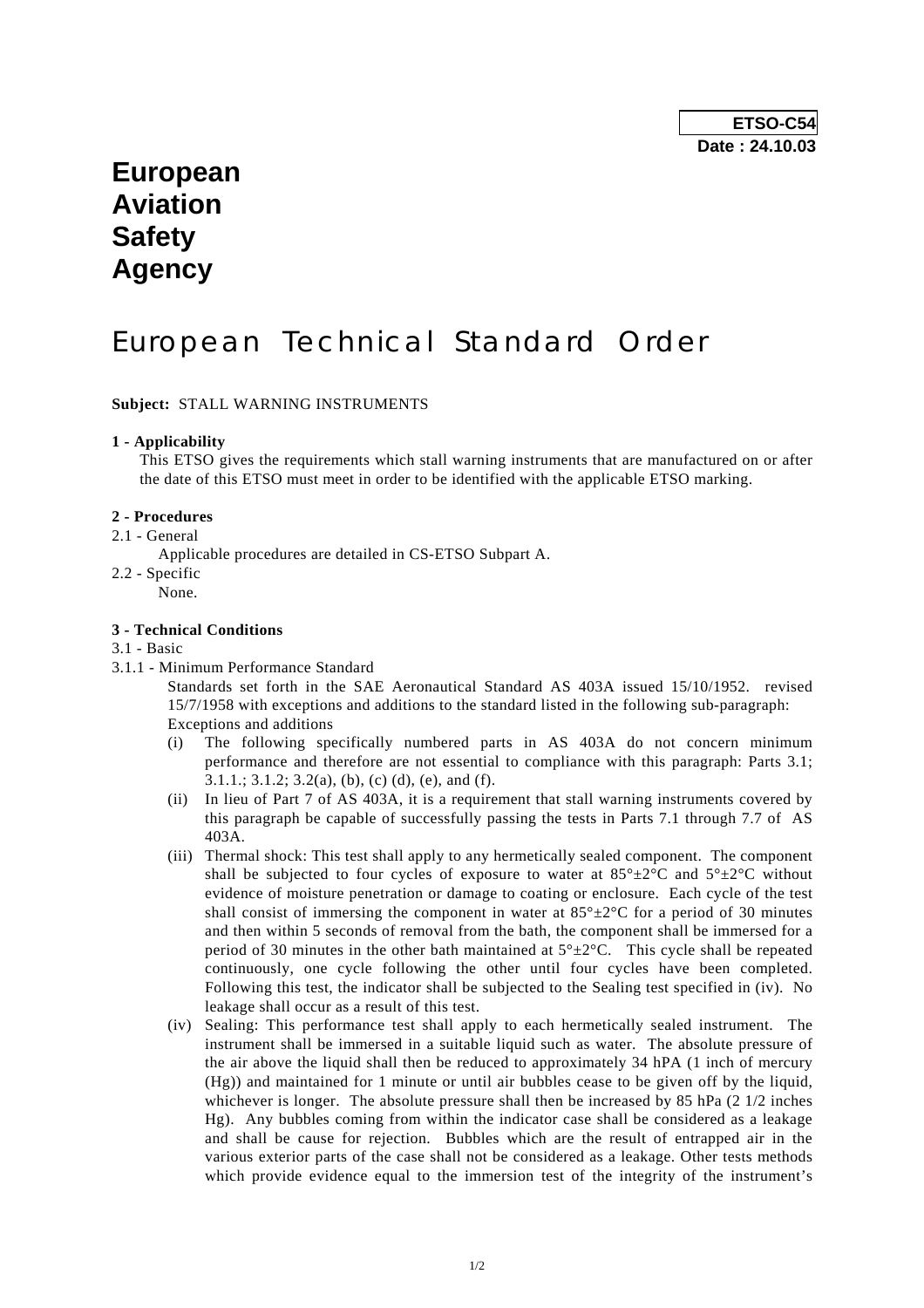# **European Aviation Safety Agency**

# European Technical Standard Order

**Subject:** STALL WARNING INSTRUMENTS

### **1 - Applicability**

 This ETSO gives the requirements which stall warning instruments that are manufactured on or after the date of this ETSO must meet in order to be identified with the applicable ETSO marking.

### **2 - Procedures**

- 2.1 General
	- Applicable procedures are detailed in CS-ETSO Subpart A.
- 2.2 Specific

None.

### **3 - Technical Conditions**

### 3.1 - Basic

3.1.1 - Minimum Performance Standard

 Standards set forth in the SAE Aeronautical Standard AS 403A issued 15/10/1952. revised 15/7/1958 with exceptions and additions to the standard listed in the following sub-paragraph: Exceptions and additions

- (i) The following specifically numbered parts in AS 403A do not concern minimum performance and therefore are not essential to compliance with this paragraph: Parts 3.1; 3.1.1.; 3.1.2; 3.2(a), (b), (c) (d), (e), and (f).
- (ii) In lieu of Part 7 of AS 403A, it is a requirement that stall warning instruments covered by this paragraph be capable of successfully passing the tests in Parts 7.1 through 7.7 of AS 403A.
- (iii) Thermal shock: This test shall apply to any hermetically sealed component. The component shall be subjected to four cycles of exposure to water at  $85^{\circ} \pm 2^{\circ}$ C and  $5^{\circ} \pm 2^{\circ}$ C without evidence of moisture penetration or damage to coating or enclosure. Each cycle of the test shall consist of immersing the component in water at  $85^{\circ} \pm 2^{\circ}$ C for a period of 30 minutes and then within 5 seconds of removal from the bath, the component shall be immersed for a period of 30 minutes in the other bath maintained at  $5^{\circ} \pm 2^{\circ}$ C. This cycle shall be repeated continuously, one cycle following the other until four cycles have been completed. Following this test, the indicator shall be subjected to the Sealing test specified in (iv). No leakage shall occur as a result of this test.
- (iv) Sealing: This performance test shall apply to each hermetically sealed instrument. The instrument shall be immersed in a suitable liquid such as water. The absolute pressure of the air above the liquid shall then be reduced to approximately 34 hPA (1 inch of mercury (Hg)) and maintained for 1 minute or until air bubbles cease to be given off by the liquid, whichever is longer. The absolute pressure shall then be increased by 85 hPa (2 1/2 inches Hg). Any bubbles coming from within the indicator case shall be considered as a leakage and shall be cause for rejection. Bubbles which are the result of entrapped air in the various exterior parts of the case shall not be considered as a leakage. Other tests methods which provide evidence equal to the immersion test of the integrity of the instrument's